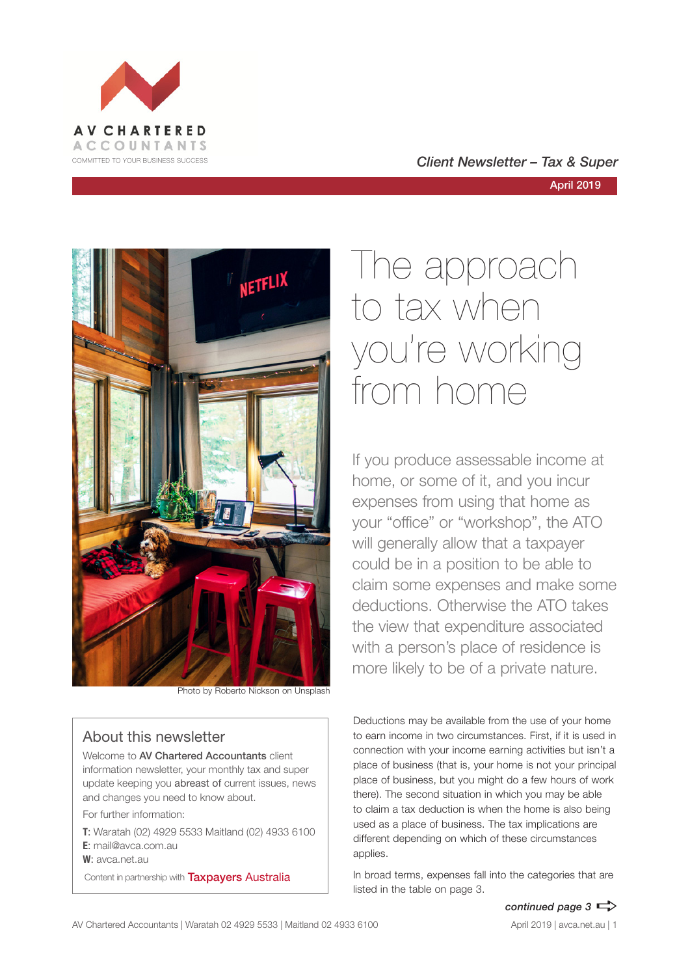

### COMMITTED TO YOUR BUSINESS SUCCESS **COMMITTED TO YOUR BUSINESS SUCCESS**



Photo by Roberto Nickson on Unsplash

### About this newsletter

Welcome to AV Chartered Accountants client information newsletter, your monthly tax and super update keeping you abreast of current issues, news and changes you need to know about.

For further information:

**T**: Waratah (02) 4929 5533 Maitland (02) 4933 6100 **E**: mail@avca.com.au

**W**: avca.net.au

Content in partnership with **Taxpayers Australia** 

# The approach to tax when you're working from home

If you produce assessable income at home, or some of it, and you incur expenses from using that home as your "office" or "workshop", the ATO will generally allow that a taxpayer could be in a position to be able to claim some expenses and make some deductions. Otherwise the ATO takes the view that expenditure associated with a person's place of residence is more likely to be of a private nature.

Deductions may be available from the use of your home to earn income in two circumstances. First, if it is used in connection with your income earning activities but isn't a place of business (that is, your home is not your principal place of business, but you might do a few hours of work there). The second situation in which you may be able to claim a tax deduction is when the home is also being used as a place of business. The tax implications are different depending on which of these circumstances applies.

In broad terms, expenses fall into the categories that are listed in the table on page 3.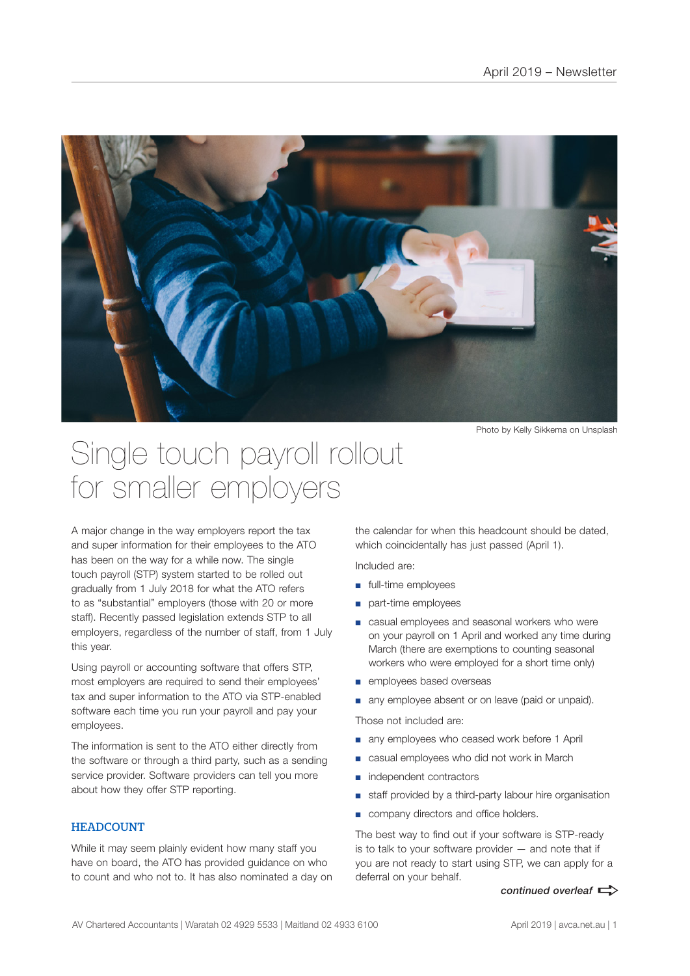

Photo by Kelly Sikkema on Unsplash

### Single touch payroll rollout for smaller employers

A major change in the way employers report the tax and super information for their employees to the ATO has been on the way for a while now. The single touch payroll (STP) system started to be rolled out gradually from 1 July 2018 for what the ATO refers to as "substantial" employers (those with 20 or more staff). Recently passed legislation extends STP to all employers, regardless of the number of staff, from 1 July this year.

Using payroll or accounting software that offers STP, most employers are required to send their employees' tax and super information to the ATO via STP-enabled software each time you run your payroll and pay your employees.

The information is sent to the ATO either directly from the software or through a third party, such as a sending service provider. Software providers can tell you more about how they offer STP reporting.

### **HEADCOUNT**

While it may seem plainly evident how many staff you have on board, the ATO has provided guidance on who to count and who not to. It has also nominated a day on

the calendar for when this headcount should be dated, which coincidentally has just passed (April 1).

Included are:

- full-time employees
- part-time employees
- casual employees and seasonal workers who were on your payroll on 1 April and worked any time during March (there are exemptions to counting seasonal workers who were employed for a short time only)
- employees based overseas
- any employee absent or on leave (paid or unpaid).

Those not included are:

- any employees who ceased work before 1 April
- casual employees who did not work in March
- independent contractors
- staff provided by a third-party labour hire organisation
- company directors and office holders.

The best way to find out if your software is STP-ready is to talk to your software provider — and note that if you are not ready to start using STP, we can apply for a deferral on your behalf.

*continued overleaf*  $\Rightarrow$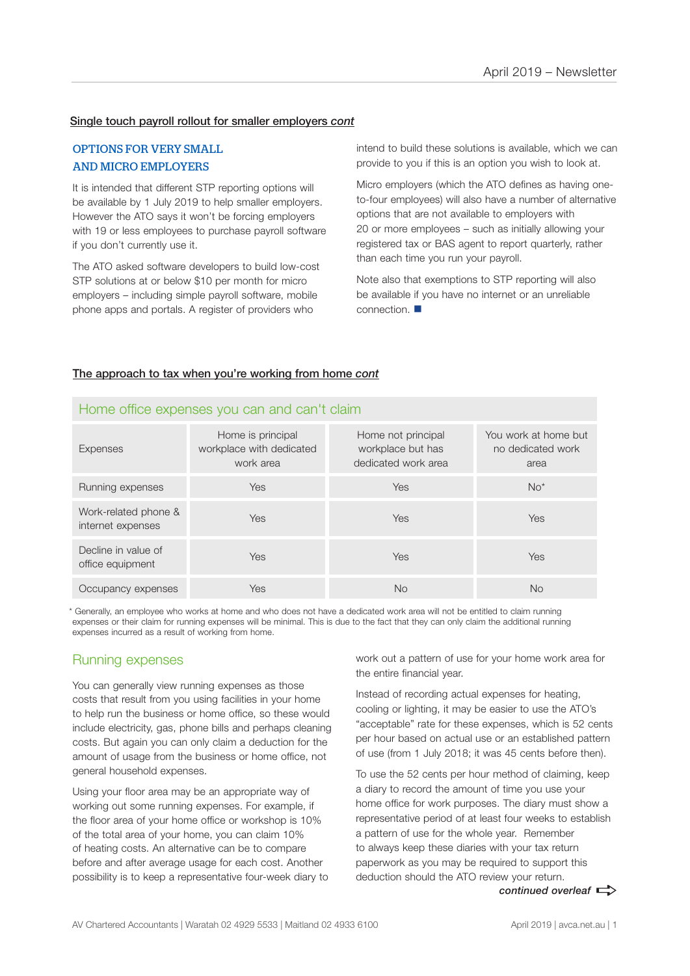### Single touch payroll rollout for smaller employers *cont*

### OPTIONS FOR VERY SMALL AND MICRO EMPLOYERS

It is intended that different STP reporting options will be available by 1 July 2019 to help smaller employers. However the ATO says it won't be forcing employers with 19 or less employees to purchase payroll software if you don't currently use it.

The ATO asked software developers to build low-cost STP solutions at or below \$10 per month for micro employers – including simple payroll software, mobile phone apps and portals. A register of providers who

intend to build these solutions is available, which we can provide to you if this is an option you wish to look at.

Micro employers (which the ATO defines as having oneto-four employees) will also have a number of alternative options that are not available to employers with 20 or more employees – such as initially allowing your registered tax or BAS agent to report quarterly, rather than each time you run your payroll.

Note also that exemptions to STP reporting will also be available if you have no internet or an unreliable connection.  $\blacksquare$ 

#### The approach to tax when you're working from home *cont*

| <b>Expenses</b>                           | Home is principal<br>workplace with dedicated<br>work area | Home not principal<br>workplace but has<br>dedicated work area | You work at home but<br>no dedicated work<br>area |
|-------------------------------------------|------------------------------------------------------------|----------------------------------------------------------------|---------------------------------------------------|
| Running expenses                          | <b>Yes</b>                                                 | Yes                                                            | $No*$                                             |
| Work-related phone &<br>internet expenses | <b>Yes</b>                                                 | Yes                                                            | Yes                                               |
| Decline in value of<br>office equipment   | <b>Yes</b>                                                 | Yes                                                            | Yes                                               |
| Occupancy expenses                        | Yes                                                        | No                                                             | No                                                |

### Home office expenses you can and can't claim

\* Generally, an employee who works at home and who does not have a dedicated work area will not be entitled to claim running expenses or their claim for running expenses will be minimal. This is due to the fact that they can only claim the additional running expenses incurred as a result of working from home.

### Running expenses

You can generally view running expenses as those costs that result from you using facilities in your home to help run the business or home office, so these would include electricity, gas, phone bills and perhaps cleaning costs. But again you can only claim a deduction for the amount of usage from the business or home office, not general household expenses.

Using your floor area may be an appropriate way of working out some running expenses. For example, if the floor area of your home office or workshop is 10% of the total area of your home, you can claim 10% of heating costs. An alternative can be to compare before and after average usage for each cost. Another possibility is to keep a representative four-week diary to work out a pattern of use for your home work area for the entire financial year.

Instead of recording actual expenses for heating, cooling or lighting, it may be easier to use the ATO's "acceptable" rate for these expenses, which is 52 cents per hour based on actual use or an established pattern of use (from 1 July 2018; it was 45 cents before then).

To use the 52 cents per hour method of claiming, keep a diary to record the amount of time you use your home office for work purposes. The diary must show a representative period of at least four weeks to establish a pattern of use for the whole year. Remember to always keep these diaries with your tax return paperwork as you may be required to support this deduction should the ATO review your return.

continued overleaf  $\Rightarrow$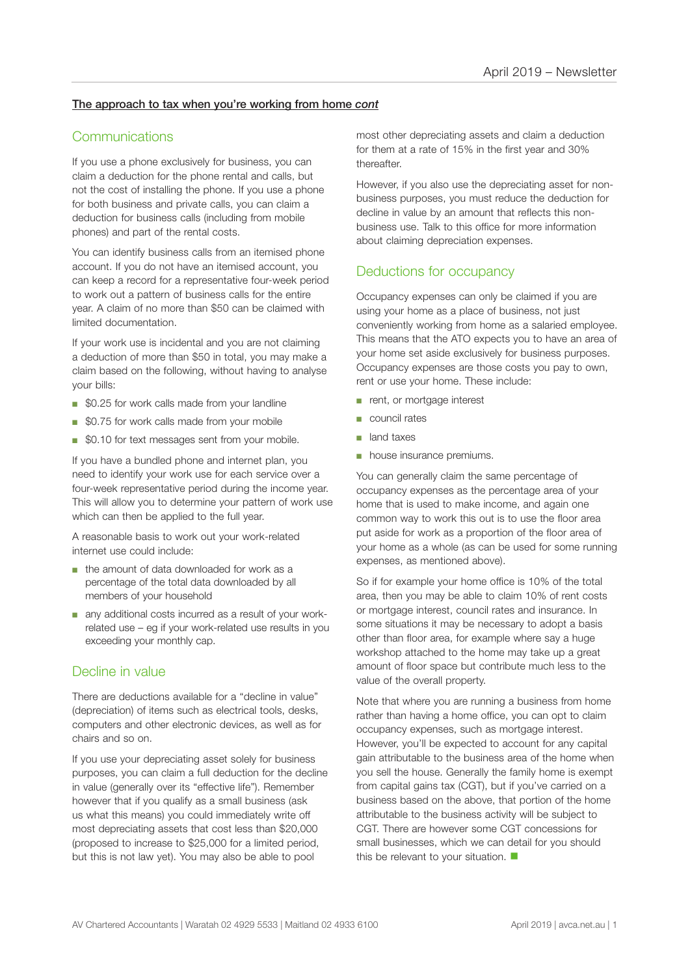### The approach to tax when you're working from home *cont*

### **Communications**

If you use a phone exclusively for business, you can claim a deduction for the phone rental and calls, but not the cost of installing the phone. If you use a phone for both business and private calls, you can claim a deduction for business calls (including from mobile phones) and part of the rental costs.

You can identify business calls from an itemised phone account. If you do not have an itemised account, you can keep a record for a representative four-week period to work out a pattern of business calls for the entire year. A claim of no more than \$50 can be claimed with limited documentation.

If your work use is incidental and you are not claiming a deduction of more than \$50 in total, you may make a claim based on the following, without having to analyse your bills:

- \$0.25 for work calls made from your landline
- \$0.75 for work calls made from your mobile
- \$0.10 for text messages sent from your mobile.

If you have a bundled phone and internet plan, you need to identify your work use for each service over a four-week representative period during the income year. This will allow you to determine your pattern of work use which can then be applied to the full year.

A reasonable basis to work out your work-related internet use could include:

- the amount of data downloaded for work as a percentage of the total data downloaded by all members of your household
- any additional costs incurred as a result of your workrelated use – eg if your work-related use results in you exceeding your monthly cap.

### Decline in value

There are deductions available for a "decline in value" (depreciation) of items such as electrical tools, desks, computers and other electronic devices, as well as for chairs and so on.

If you use your depreciating asset solely for business purposes, you can claim a full deduction for the decline in value (generally over its "effective life"). Remember however that if you qualify as a small business (ask us what this means) you could immediately write off most depreciating assets that cost less than \$20,000 (proposed to increase to \$25,000 for a limited period, but this is not law yet). You may also be able to pool

most other depreciating assets and claim a deduction for them at a rate of 15% in the first year and 30% thereafter.

However, if you also use the depreciating asset for nonbusiness purposes, you must reduce the deduction for decline in value by an amount that reflects this nonbusiness use. Talk to this office for more information about claiming depreciation expenses.

### Deductions for occupancy

Occupancy expenses can only be claimed if you are using your home as a place of business, not just conveniently working from home as a salaried employee. This means that the ATO expects you to have an area of your home set aside exclusively for business purposes. Occupancy expenses are those costs you pay to own, rent or use your home. These include:

- rent, or mortgage interest
- council rates
- land taxes
- house insurance premiums.

You can generally claim the same percentage of occupancy expenses as the percentage area of your home that is used to make income, and again one common way to work this out is to use the floor area put aside for work as a proportion of the floor area of your home as a whole (as can be used for some running expenses, as mentioned above).

So if for example your home office is 10% of the total area, then you may be able to claim 10% of rent costs or mortgage interest, council rates and insurance. In some situations it may be necessary to adopt a basis other than floor area, for example where say a huge workshop attached to the home may take up a great amount of floor space but contribute much less to the value of the overall property.

Note that where you are running a business from home rather than having a home office, you can opt to claim occupancy expenses, such as mortgage interest. However, you'll be expected to account for any capital gain attributable to the business area of the home when you sell the house. Generally the family home is exempt from capital gains tax (CGT), but if you've carried on a business based on the above, that portion of the home attributable to the business activity will be subject to CGT. There are however some CGT concessions for small businesses, which we can detail for you should this be relevant to your situation.  $\blacksquare$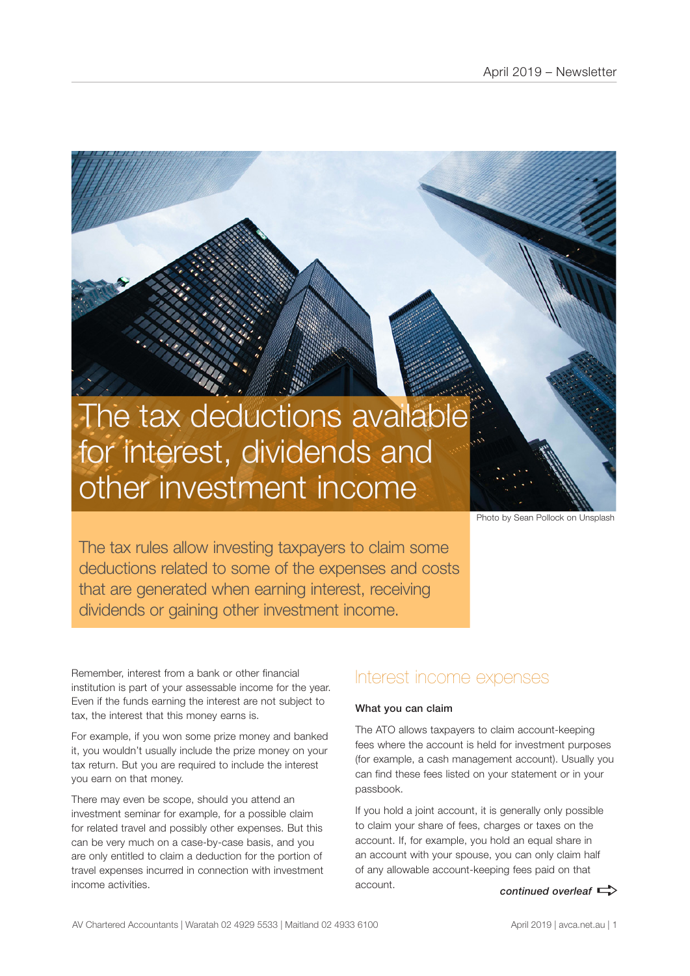## The tax deductions available for interest, dividends and other investment income

Photo by Sean Pollock on Unsplash

The tax rules allow investing taxpayers to claim some deductions related to some of the expenses and costs that are generated when earning interest, receiving dividends or gaining other investment income.

Remember, interest from a bank or other financial institution is part of your assessable income for the year. Even if the funds earning the interest are not subject to tax, the interest that this money earns is.

For example, if you won some prize money and banked it, you wouldn't usually include the prize money on your tax return. But you are required to include the interest you earn on that money.

There may even be scope, should you attend an investment seminar for example, for a possible claim for related travel and possibly other expenses. But this can be very much on a case-by-case basis, and you are only entitled to claim a deduction for the portion of travel expenses incurred in connection with investment income activities.

### Interest income expenses

#### What you can claim

The ATO allows taxpayers to claim account-keeping fees where the account is held for investment purposes (for example, a cash management account). Usually you can find these fees listed on your statement or in your passbook.

*continued overleaf*  $\Rightarrow$ If you hold a joint account, it is generally only possible to claim your share of fees, charges or taxes on the account. If, for example, you hold an equal share in an account with your spouse, you can only claim half of any allowable account-keeping fees paid on that account.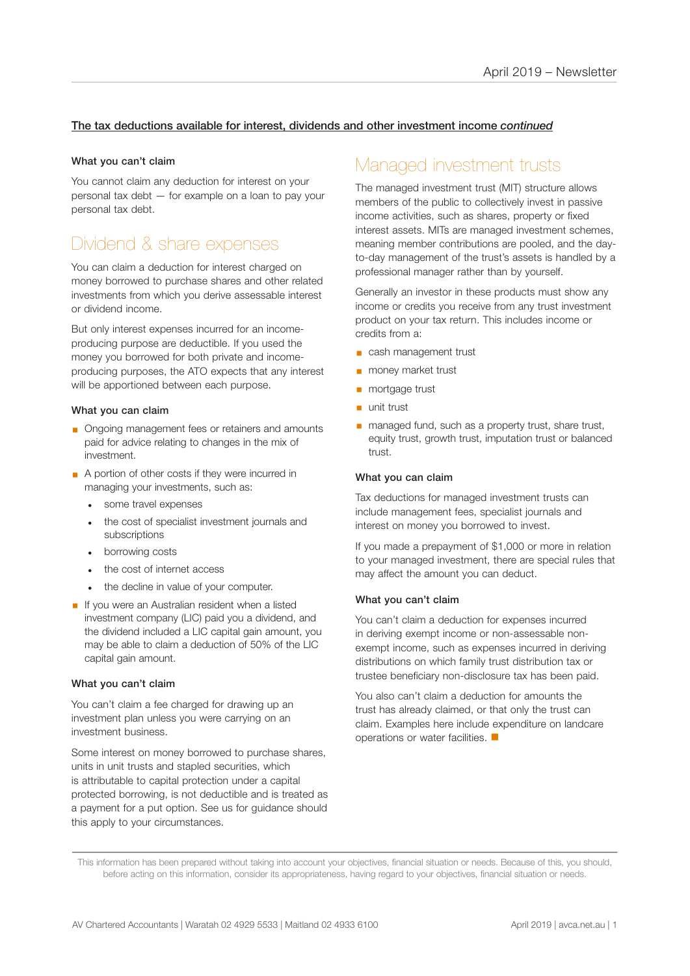### The tax deductions available for interest, dividends and other investment income *continued*

### What you can't claim

You cannot claim any deduction for interest on your personal tax debt — for example on a loan to pay your personal tax debt.

### Dividend & share expenses

You can claim a deduction for interest charged on money borrowed to purchase shares and other related investments from which you derive assessable interest or dividend income.

But only interest expenses incurred for an incomeproducing purpose are deductible. If you used the money you borrowed for both private and incomeproducing purposes, the ATO expects that any interest will be apportioned between each purpose.

### What you can claim

- Ongoing management fees or retainers and amounts paid for advice relating to changes in the mix of investment.
- A portion of other costs if they were incurred in managing your investments, such as:
	- some travel expenses
	- the cost of specialist investment journals and subscriptions
	- borrowing costs
	- the cost of internet access
	- the decline in value of your computer.
- **•** If you were an Australian resident when a listed investment company (LIC) paid you a dividend, and the dividend included a LIC capital gain amount, you may be able to claim a deduction of 50% of the LIC capital gain amount.

### What you can't claim

You can't claim a fee charged for drawing up an investment plan unless you were carrying on an investment business.

Some interest on money borrowed to purchase shares, units in unit trusts and stapled securities, which is attributable to capital protection under a capital protected borrowing, is not deductible and is treated as a payment for a put option. See us for guidance should this apply to your circumstances.

### Managed investment trusts

The managed investment trust (MIT) structure allows members of the public to collectively invest in passive income activities, such as shares, property or fixed interest assets. MITs are managed investment schemes, meaning member contributions are pooled, and the dayto-day management of the trust's assets is handled by a professional manager rather than by yourself.

Generally an investor in these products must show any income or credits you receive from any trust investment product on your tax return. This includes income or credits from a:

- cash management trust
- money market trust
- mortgage trust
- unit trust
- managed fund, such as a property trust, share trust, equity trust, growth trust, imputation trust or balanced trust.

#### What you can claim

Tax deductions for managed investment trusts can include management fees, specialist journals and interest on money you borrowed to invest.

If you made a prepayment of \$1,000 or more in relation to your managed investment, there are special rules that may affect the amount you can deduct.

### What you can't claim

You can't claim a deduction for expenses incurred in deriving exempt income or non-assessable nonexempt income, such as expenses incurred in deriving distributions on which family trust distribution tax or trustee beneficiary non-disclosure tax has been paid.

You also can't claim a deduction for amounts the trust has already claimed, or that only the trust can claim. Examples here include expenditure on landcare operations or water facilities.  $\blacksquare$ 

This information has been prepared without taking into account your objectives, financial situation or needs. Because of this, you should, before acting on this information, consider its appropriateness, having regard to your objectives, financial situation or needs.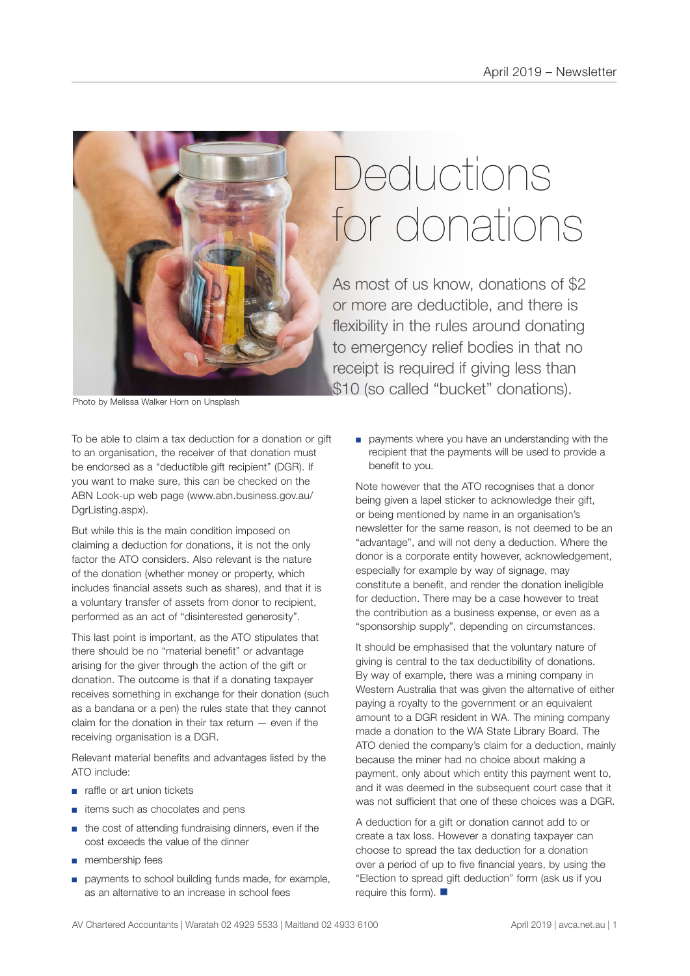

# **Deductions** for donations

As most of us know, donations of \$2 or more are deductible, and there is flexibility in the rules around donating to emergency relief bodies in that no receipt is required if giving less than \$10 (so called "bucket" donations).

Photo by Melissa Walker Horn on Unsplash

To be able to claim a tax deduction for a donation or gift to an organisation, the receiver of that donation must be endorsed as a "deductible gift recipient" (DGR). If you want to make sure, this can be checked on the ABN Look-up web page (www.abn.business.gov.au/ DgrListing.aspx).

But while this is the main condition imposed on claiming a deduction for donations, it is not the only factor the ATO considers. Also relevant is the nature of the donation (whether money or property, which includes financial assets such as shares), and that it is a voluntary transfer of assets from donor to recipient, performed as an act of "disinterested generosity".

This last point is important, as the ATO stipulates that there should be no "material benefit" or advantage arising for the giver through the action of the gift or donation. The outcome is that if a donating taxpayer receives something in exchange for their donation (such as a bandana or a pen) the rules state that they cannot claim for the donation in their tax return — even if the receiving organisation is a DGR.

Relevant material benefits and advantages listed by the ATO include:

- raffle or art union tickets
- items such as chocolates and pens
- the cost of attending fundraising dinners, even if the cost exceeds the value of the dinner
- membership fees
- payments to school building funds made, for example, as an alternative to an increase in school fees

■ payments where you have an understanding with the recipient that the payments will be used to provide a benefit to you.

Note however that the ATO recognises that a donor being given a lapel sticker to acknowledge their gift, or being mentioned by name in an organisation's newsletter for the same reason, is not deemed to be an "advantage", and will not deny a deduction. Where the donor is a corporate entity however, acknowledgement, especially for example by way of signage, may constitute a benefit, and render the donation ineligible for deduction. There may be a case however to treat the contribution as a business expense, or even as a "sponsorship supply", depending on circumstances.

It should be emphasised that the voluntary nature of giving is central to the tax deductibility of donations. By way of example, there was a mining company in Western Australia that was given the alternative of either paying a royalty to the government or an equivalent amount to a DGR resident in WA. The mining company made a donation to the WA State Library Board. The ATO denied the company's claim for a deduction, mainly because the miner had no choice about making a payment, only about which entity this payment went to, and it was deemed in the subsequent court case that it was not sufficient that one of these choices was a DGR.

A deduction for a gift or donation cannot add to or create a tax loss. However a donating taxpayer can choose to spread the tax deduction for a donation over a period of up to five financial years, by using the "Election to spread gift deduction" form (ask us if you require this form).  $\blacksquare$